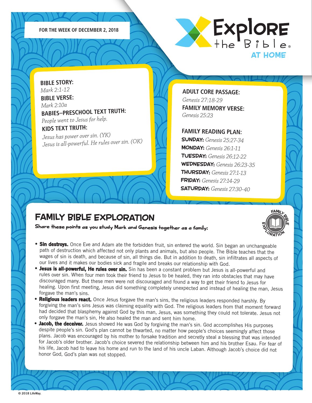



**BIBLE STORY:** *Mark 2:1-12* **BIBLE VERSE:** *Mark 2:10a* **BABIES–PRESCHOOL TEXT TRUTH:**  *People went to Jesus for help.* **KIDS TEXT TRUTH:** 

*Jesus has power over sin. (YK) Jesus is all-powerful. He rules over sin. (OK)* **ADULT CORE PASSAGE:** *Genesis 27:18-29*  **FAMILY MEMORY VERSE:** *Genesis 25:23*

#### **FAMILY READING PLAN:**

SUNDAY: *Genesis 25:27-34* MONDAY: *Genesis 26:1-11* TUESDAY: *Genesis 26:12-22* WEDNESDAY: *Genesis 26:23-35* THURSDAY: *Genesis 27:1-13* FRIDAY: *Genesis 27:14-29* SATURDAY: *Genesis 27:30-40*

FAMILL<br>I II P

X<sub>ORATION</sub>

iη

m

### FAMILY BIBLE EXPLORATION

- **Sin destroys.** Once Eve and Adam ate the forbidden fruit, sin entered the world. Sin began an unchangeable path of destruction which affected not only plants and animals, but also people. The Bible teaches that the wages of sin is death, and because of sin, all things die. But in addition to death, sin infiltrates all aspects of our lives and it makes our bodies sick and fragile and breaks our relationship with God.
- Jesus is all-powerful, He rules over sin. Sin has been a constant problem but Jesus is all-powerful and rules over sin. When four men took their friend to Jesus to be healed, they ran into obstacles that may have discouraged many. But these men were not discouraged and found a way to get their friend to Jesus for healing. Upon first meeting, Jesus did something completely unexpected and instead of healing the man, Jesus forgave the man's sins.
- •Religious leaders react. Once Jesus forgave the man's sins, the religious leaders responded harshly. By forgiving the man's sins Jesus was claiming equality with God. The religious leaders from that moment forward had decided that blasphemy against God by this man, Jesus, was something they could not tolerate. Jesus not only forgave the man's sin, He also healed the man and sent him home.
- **Jacob, the deceiver.** Jesus showed He was God by forgiving the man's sin. God accomplishes His purposes despite people's sin. God's plan cannot be thwarted, no matter how people's choices seemingly affect those plans. Jacob was encouraged by his mother to forsake tradition and secretly steal a blessing that was intended for Jacob's older brother. Jacob's choice severed the relationship between him and his brother Esau. For fear of his life, Jacob had to leave his home and run to the land of his uncle Laban. Although Jacob's choice did not honor God, God's plan was not stopped.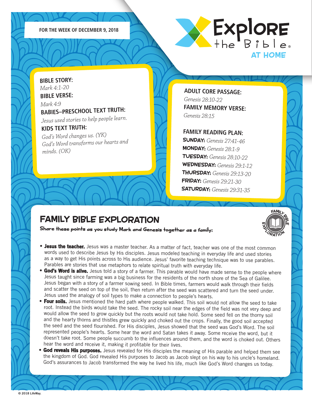



**BIBLE STORY:** *Mark 4:1-20* **BIBLE VERSE:** *Mark 4:9* **BABIES–PRESCHOOL TEXT TRUTH:**  *Jesus used stories to help people learn.* **KIDS TEXT TRUTH:** 

*God's Word changes us. (YK) God's Word transforms our hearts an<sup>d</sup> minds. (OK)*

**ADULT CORE PASSAGE:** *Genesis 28:10-22*  **FAMILY MEMORY VERSE:** *Genesis 28:15*

**FAMILY READING PLAN:**

SUNDAY: *Genesis 27:41-46* MONDAY: *Genesis 28:1-9* TUESDAY: *Genesis 28:10-22* WEDNESDAY: *Genesis 29:1-12* THURSDAY: *Genesis 29:13-20* FRIDAY: *Genesis 29:21-30* SATURDAY: *Genesis 29:31-35*

FAMILL<br>I II P

X<sub>ORATION</sub>

iη

m

## FAMILY BIBLE EXPLORATION

- Jesus the teacher. Jesus was a master teacher. As a matter of fact, teacher was one of the most common words used to describe Jesus by His disciples. Jesus modeled teaching in everyday life and used stories as a way to get His points across to His audience. Jesus' favorite teaching technique was to use parables. Parables are stories that use metaphors to relate spiritual truth with everyday life.
- **God's Word is alive.** Jesus told a story of a farmer. This parable would have made sense to the people where Jesus taught since farming was a big business for the residents of the north shore of the Sea of Galilee. Jesus began with a story of a farmer sowing seed. In Bible times, farmers would walk through their fields and scatter the seed on top of the soil, then return after the seed was scattered and turn the seed under. Jesus used the analogy of soil types to make a connection to people's hearts.
- Four soils. Jesus mentioned the hard path where people walked. This soil would not allow the seed to take root. Instead the birds would take the seed. The rocky soil near the edges of the field was not very deep and would allow the seed to grow quickly but the roots would not take hold. Some seed fell on the thorny soil and the hearty thorns and thistles grew quickly and choked out the crops. Finally, the good soil accepted the seed and the seed flourished. For His disciples, Jesus showed that the seed was God's Word. The soil represented people's hearts. Some hear the word and Satan takes it away. Some receive the word, but it doesn't take root. Some people succumb to the influences around them, and the word is choked out. Others hear the word and receive it, making it profitable for their lives.
- **God reveals His purposes.** Jesus revealed for His disciples the meaning of His parable and helped them see the kingdom of God. God revealed His purposes to Jacob as Jacob slept on his way to his uncle's homeland. God's assurances to Jacob transformed the way he lived his life, much like God's Word changes us today.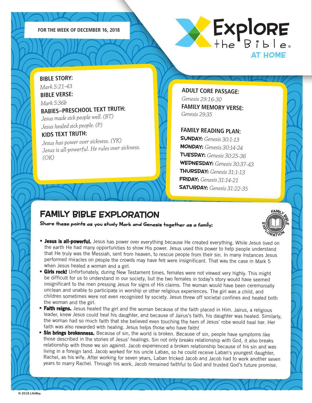



**BIBLE STORY:** *Mark 5:21-43* **BIBLE VERSE:** *Mark 5:36b* **BABIES–PRESCHOOL TEXT TRUTH:**  *Jesus made sick people well. (BT) Jesus healed sick people. (P)* **KIDS TEXT TRUTH:** 

*Jesus has power over sickness. (YK) Jesus is all-powerful. He rules over sickness. (OK)*

**ADULT CORE PASSAGE:** *Genesis 29:16-30*  **FAMILY MEMORY VERSE:** *Genesis 29:35*

### **FAMILY READING PLAN:**

SUNDAY: *Genesis 30:1-13* MONDAY: *Genesis 30:14-24* TUESDAY: *Genesis 30:25-36* WEDNESDAY: *Genesis 30:37-43* THURSDAY: *Genesis 31:1-13* FRIDAY: *Genesis 31:14-21* SATURDAY: *Genesis 31:22-35*

### FAMILY BIBLE EXPLORATION



- Jesus is all-powerful. Jesus has power over everything because He created everything. While Jesus lived on the earth He had many opportunities to show His power. Jesus used this power to help people understand that He truly was the Messiah, sent from heaven, to rescue people from their sin. In many instances Jesus performed miracles on people the crowds may have felt were insignificant. That was the case in Mark 5 when Jesus healed a woman and a girl.
- Girls rock! Unfortunately, during New Testament times, females were not viewed very highly. This might be difficult for us to understand in our society, but the two females in today's story would have seemed insignificant to the men pressing Jesus for signs of His claims. The woman would have been ceremonially unclean and unable to participate in worship or other religious experiences. The girl was a child, and children sometimes were not even recognized by society. Jesus threw off societal confines and healed both the woman and the girl.
- Faith reigns. Jesus healed the girl and the woman because of the faith placed in Him. Jairus, a religious leader, knew Jesus could heal his daughter, and because of Jairus's faith, his daughter was healed. Similarly, the woman had so much faith that she believed even touching the hem of Jesus' robe would heal her. Her faith was also rewarded with healing. Jesus helps those who have faith!
- **Sin brings brokenness.** Because of sin, the world is broken. Because of sin, people have symptoms like those described in the stories of Jesus' healings. Sin not only breaks relationship with God, it also breaks relationship with those we sin against. Jacob experienced a broken relationship because of his sin and was living in a foreign land. Jacob worked for his uncle Laban, so he could receive Laban's youngest daughter, Rachel, as his wife. After working for seven years, Laban tricked Jacob and Jacob had to work another seven years to marry Rachel. Through his work, Jacob remained faithful to God and trusted God's future promise.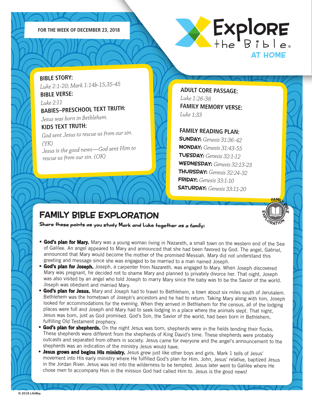



**BIBLE STORY:** *Luke 2:1-20; Mark 1:14b-15,35-45* **BIBLE VERSE:** *Luke 2:11* **BABIES–PRESCHOOL TEXT TRUTH:**  *Jesus was born in Bethlehem.* **KIDS TEXT TRUTH:**  *God sent Jesus to rescue us from our sin. (YK) Jesus is the good news—God sent Him to rescue us from our sin. (OK)*

**ADULT CORE PASSAGE:** *Luke 1:26-38*  **FAMILY MEMORY VERSE:** *Luke 1:33*

### **FAMILY READING PLAN:**

SUNDAY: *Genesis 31:36-42* MONDAY: *Genesis 31:43-55* TUESDAY: *Genesis 32:1-12* WEDNESDAY: *Genesis 32:13-23* THURSDAY: *Genesis 32:24-32* FRIDAY: *Genesis 33:1-10* SATURDAY: *Genesis 33:11-20*

FAMILL<br>In III 19

X<sub>ORATION</sub>

m

m

# FAMILY BIBLE EXPLORATION

- God's plan for Mary. Mary was a young woman living in Nazareth, a small town on the western end of the Sea of Galilee. An angel appeared to Mary and announced that she had been favored by God. The angel, Gabriel, announced that Mary would become the mother of the promised Messiah. Mary did not understand this greeting and message since she was engaged to be married to a man named Joseph.
- **God's plan for Joseph.** Joseph, a carpenter from Nazareth, was engaged to Mary. When Joseph discovered Mary was pregnant, he decided not to shame Mary and planned to privately divorce her. That night, Joseph was also visited by an angel who told Joseph to marry Mary since the baby was to be the Savior of the world. Joseph was obedient and married Mary.
- God's plan for Jesus. Mary and Joseph had to travel to Bethlehem, a town about six miles south of Jerusalem. Bethlehem was the hometown of Joseph's ancestors and he had to return. Taking Mary along with him, Joseph looked for accommodations for the evening. When they arrived in Bethlehem for the census, all of the lodging places were full and Joseph and Mary had to seek lodging in a place where the animals slept. That night, Jesus was born, just as God promised. God's Son, the Savior of the world, had been born in Bethlehem, fulfilling Old Testament prophecy.
- God's plan for shepherds. On the night Jesus was born, shepherds were in the fields tending their flocks. These shepherds were different from the shepherds of King David's time. These shepherds were probably outcasts and separated from others in society. Jesus came for everyone and the angel's announcement to the shepherds was an indication of the ministry Jesus would have.
- Jesus grows and begins His ministry. Jesus grew just like other boys and girls. Mark 1 tells of Jesus' movement into His early ministry where He fulfilled God's plan for Him. John, Jesus' relative, baptized Jesus in the Jordan River. Jesus was led into the wilderness to be tempted. Jesus later went to Galilee where He chose men to accompany Him in the mission God had called Him to. Jesus is the good news!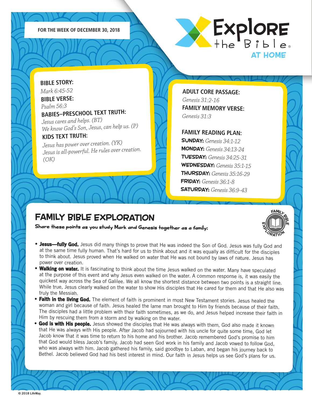



### **BIBLE STORY:**

*Mark 6:45-52* **BIBLE VERSE:**

### *Psalm 56:3* **BABIES–PRESCHOOL TEXT TRUTH:**

*Jesus cares and helps. (BT) We know God's Son, Jesus, can help us. (P)*

### **KIDS TEXT TRUTH:**

*Jesus has power over creation. (YK) Jesus is all-powerful. He rules over creation. (OK)*

**ADULT CORE PASSAGE:** *Genesis 31:2-16*  **FAMILY MEMORY VERSE:** *Genesis 31:3*

### **FAMILY READING PLAN:**

SUNDAY: *Genesis 34:1-12* MONDAY: *Genesis 34:13-24* TUESDAY: *Genesis 34:25-31* WEDNESDAY: *Genesis 35:1-15* THURSDAY: *Genesis 35:16-29* FRIDAY: *Genesis 36:1-8* SATURDAY: *Genesis 36:9-43*

### FAMILY BIBLE EXPLORATION



- **Jesus—fully God.** Jesus did many things to prove that He was indeed the Son of God. Jesus was fully God and at the same time fully human. That's hard for us to think about and it was equally as difficult for the disciples to think about. Jesus proved when He walked on water that He was not bound by laws of nature. Jesus has power over creation.
- Walking on water. It is fascinating to think about the time Jesus walked on the water. Many have speculated at the purpose of this event and why Jesus even walked on the water. A common response is, it was easily the quickest way across the Sea of Galilee. We all know the shortest distance between two points is a straight line. While true, Jesus clearly walked on the water to show His disciples that He cared for them and that He also was truly the Messiah.
- •Faith in the living God. The element of faith is prominent in most New Testament stories. Jesus healed the woman and girl because of faith. Jesus healed the lame man brought to Him by friends because of their faith. The disciples had a little problem with their faith sometimes, as we do, and Jesus helped increase their faith in Him by rescuing them from a storm and by walking on the water.
- **God is with His people.** Jesus showed the disciples that He was always with them, God also made it known that He was always with His people. After Jacob had sojourned with his uncle for quite some time, God let Jacob know that it was time to return to his home and his brother. Jacob remembered God's promise to him that God would bless Jacob's family. Jacob had seen God work in his family and Jacob vowed to follow God, who was always with him. Jacob gathered his family, said goodbye to Laban, and began his journey back to Bethel. Jacob believed God had his best interest in mind. Our faith in Jesus helps us see God's plans for us.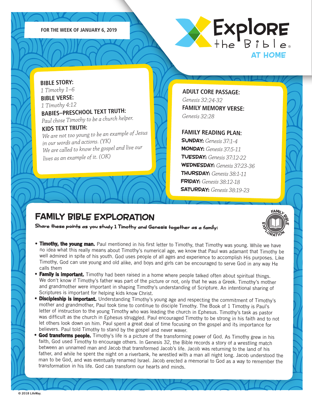



**BIBLE STORY:** *1 Timothy 1–6* **BIBLE VERSE:** *1 Timothy 4:12* **BABIES–PRESCHOOL TEXT TRUTH:**  *Paul chose Timothy to be a church helper.* **KIDS TEXT TRUTH:**  *We are not too young to be an example of Jesus* 

*in our words and actions. (YK) We are called to know the gospel and live our lives as an example of it. (OK)*

**ADULT CORE PASSAGE:** *Genesis 32:24-32*  **FAMILY MEMORY VERSE:** *Genesis 32:28*

#### **FAMILY READING PLAN:**

SUNDAY: *Genesis 37:1-4* MONDAY: *Genesis 37:5-11* TUESDAY: *Genesis 37:12-22* WEDNESDAY: *Genesis 37:23-36* THURSDAY: *Genesis 38:1-11* FRIDAY: *Genesis 38:12-18* SATURDAY: *Genesis 38:19-23*

# FAMILY BIBLE EXPLORATION

- FAMILL<br>I II P m iη X<sub>ORATION</sub>
- **Timothy, the young man.** Paul mentioned in his first letter to Timothy, that Timothy was young. While we have no idea what this really means about Timothy's numerical age, we know that Paul was adamant that Timothy be well admired in spite of his youth. God uses people of all ages and experience to accomplish His purposes. Like Timothy, God can use young and old alike, and boys and girls can be encouraged to serve God in any way He calls them
- **Family is important.** Timothy had been raised in a home where people talked often about spiritual things. We don't know if Timothy's father was part of the picture or not, only that he was a Greek. Timothy's mother and grandmother were important in shaping Timothy's understanding of Scripture. An intentional sharing of Scriptures is important for helping kids know Christ.
- **Discipleship is important.** Understanding Timothy's young age and respecting the commitment of Timothy's mother and grandmother, Paul took time to continue to disciple Timothy. The Book of 1 Timothy is Paul's letter of instruction to the young Timothy who was leading the church in Ephesus. Timothy's task as pastor was difficult as the church in Ephesus struggled. Paul encouraged Timothy to be strong in his faith and to not let others look down on him. Paul spent a great deal of time focusing on the gospel and its importance for believers. Paul told Timothy to stand by the gospel and never waver.
- **God transforms people.** Timothy's life is a picture of the transforming power of God. As Timothy grew in his faith, God used Timothy to encourage others. In Genesis 32, the Bible records a story of a wrestling match between an unnamed man and Jacob that transformed Jacob's life. Jacob was returning to the land of his father, and while he spent the night on a riverbank, he wrestled with a man all night long. Jacob understood the man to be God, and was eventually renamed Israel. Jacob erected a memorial to God as a way to remember the transformation in his life. God can transform our hearts and minds.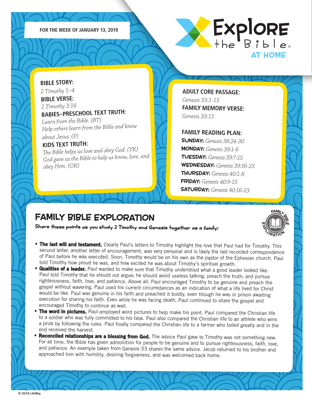



### **BIBLE STORY:**

*2 Timothy 1–4* **BIBLE VERSE:** *2 Timothy 3:16* **BABIES–PRESCHOOL TEXT TRUTH:**  *Learn from the Bible. (BT)*

### *Help others learn from the Bible and know about Jesus. (P)*

### **KIDS TEXT TRUTH:**

*The Bible helps us love and obey God. (YK) God gave us the Bible to help us know, love, and obey Him. (OK)*

**ADULT CORE PASSAGE:** *Genesis 33:1-15*  **FAMILY MEMORY VERSE:** *Genesis 33:11*

### **FAMILY READING PLAN:**

SUNDAY: *Genesis 38:24-30* MONDAY: *Genesis 39:1-6* TUESDAY: *Genesis 39:7-15* WEDNESDAY: *Genesis 39:16-23* THURSDAY: *Genesis 40:1-8* FRIDAY: *Genesis 40:9-15* SATURDAY: *Genesis 40:16-23*

# FAMILY BIBLE EXPLORATION

- FAMILL<br>I II P m iη X<sub>ORATION</sub>
- **The last will and testament.** Clearly Paul's letters to Timothy highlight the love that Paul had for Timothy. This second letter, another letter of encouragement, was very personal and is likely the last recorded correspondence of Paul before he was executed. Soon, Timothy would be on his own as the pastor of the Ephesian church. Paul told Timothy how proud he was, and how excited he was about Timothy's spiritual growth.
- **Qualities of a leader.** Paul wanted to make sure that Timothy understood what a good leader looked like. Paul told Timothy that he should not argue; he should avoid useless talking; preach the truth; and pursue righteousness, faith, love, and patience. Above all, Paul encouraged Timothy to be genuine and preach the gospel without wavering. Paul used his current circumstances as an indication of what a life lived for Christ would be like. Paul was genuine in his faith and preached it boldly, even though he was in prison awaiting execution for sharing his faith. Even while he was facing death, Paul continued to share the gospel and encouraged Timothy to continue as well.
- •The word in pictures. Paul employed word pictures to help make his point. Paul compared the Christian life to a soldier who was fully committed to his task. Paul also compared the Christian life to an athlete who wins a prize by following the rules. Paul finally compared the Christian life to a farmer who toiled greatly and in the end received the harvest.
- Reconciled relationships are a blessing from God. The advice Paul gave to Timothy was not something new. For all time, the Bible has given admonition for people to be genuine and to pursue righteousness, faith, love, and patience. An example taken from Genesis 33 shares the same advice. Jacob returned to his brother and approached him with humility, desiring forgiveness, and was welcomed back home.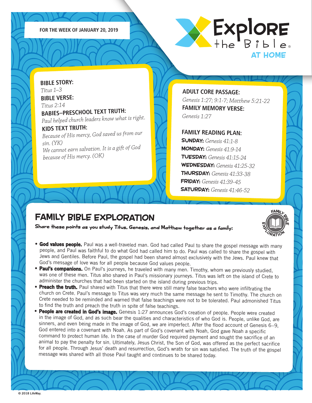



**BIBLE STORY:** *Titus 1–3* **BIBLE VERSE:** *Titus 2:14* **BABIES–PRESCHOOL TEXT TRUTH:**  *Paul helped church leaders know what is right.* **KIDS TEXT TRUTH:**  *Because of His mercy, God saved us from our sin. (YK) We cannot earn salvation. It is a gift of God because of His mercy. (OK)*

**ADULT CORE PASSAGE:** *Genesis 1:27; 9:1-7; Matthew 5:21-22* **FAMILY MEMORY VERSE:** *Genesis 1:27*

#### **FAMILY READING PLAN:**

SUNDAY: *Genesis 41:1-8* MONDAY: *Genesis 41:9-14* TUESDAY: *Genesis 41:15-24* WEDNESDAY: *Genesis 41:25-32* THURSDAY: *Genesis 41:33-38* FRIDAY: *Genesis 41:39-45* SATURDAY: *Genesis 41:46-52*

## FAMILY BIBLE EXPLORATION

Share these points as you study Titus, Genesis, and Matthew together as a family:



- **God values people.** Paul was a well-traveled man. God had called Paul to share the gospel message with many people, and Paul was faithful to do what God had called him to do. Paul was called to share the gospel with Jews and Gentiles. Before Paul, the gospel had been shared almost exclusively with the Jews. Paul knew that God's message of love was for all people because God values people.
- **Paul's companions.** On Paul's journeys, he traveled with many men. Timothy, whom we previously studied, was one of these men. Titus also shared in Paul's missionary journeys. Titus was left on the island of Crete to administer the churches that had been started on the island during previous trips.
- Preach the truth. Paul shared with Titus that there were still many false teachers who were infiltrating the church on Crete. Paul's message to Titus was very much the same message he sent to Timothy. The church on Crete needed to be reminded and warned that false teachings were not to be tolerated. Paul admonished Titus to find the truth and preach the truth in spite of false teachings.
- **People are created in God's image.** Genesis 1:27 announces God's creation of people. People were created in the image of God, and as such bear the qualities and characteristics of who God is. People, unlike God, are sinners, and even being made in the image of God, we are imperfect. After the flood account of Genesis 6–9, God entered into a covenant with Noah. As part of God's covenant with Noah, God gave Noah a specific command to protect human life. In the case of murder God required payment and sought the sacrifice of an animal to pay the penalty for sin. Ultimately, Jesus Christ, the Son of God, was offered as the perfect sacrifice for all people. Through Jesus' death and resurrection, God's wrath for sin was satisfied. The truth of the gospel message was shared with all those Paul taught and continues to be shared today.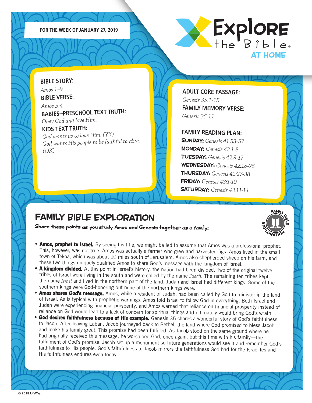



**BIBLE STORY:** *Amos 1–9* **BIBLE VERSE:**

*(OK)*

*Amos 5:4* **BABIES–PRESCHOOL TEXT TRUTH:**  *Obey God and love Him.*

### **KIDS TEXT TRUTH:**  *God wants us to love Him. (YK) God wants His people to be faithful to Him.*

**ADULT CORE PASSAGE:** *Genesis 35:1-15*  **FAMILY MEMORY VERSE:** *Genesis 35:11*

#### **FAMILY READING PLAN:**

SUNDAY: *Genesis 41:53-57* MONDAY: *Genesis 42:1-8* TUESDAY: *Genesis 42:9-17* WEDNESDAY: *Genesis 42:18-26* THURSDAY: *Genesis 42:27-38* FRIDAY: *Genesis 43:1-10* SATURDAY: *Genesis 43:11-14*

FAMILL<br>I II P

X<sub>ORATION</sub>

iη

m

## FAMILY BIBLE EXPLORATION

- Amos, prophet to Israel. By seeing his title, we might be led to assume that Amos was a professional prophet. This, however, was not true. Amos was actually a farmer who grew and harvested figs. Amos lived in the small town of Tekoa, which was about 10 miles south of Jerusalem. Amos also shepherded sheep on his farm, and these two things uniquely qualified Amos to share God's message with the kingdom of Israel.
- A kingdom divided. At this point in Israel's history, the nation had been divided. Two of the original twelve tribes of Israel were living in the south and were called by the name *Judah*. The remaining ten tribes kept the name *Israel* and lived in the northern part of the land. Judah and Israel had different kings. Some of the southern kings were God-honoring but none of the northern kings were.
- •Amos shares God's message. Amos, while a resident of Judah, had been called by God to minister in the land of Israel. As is typical with prophetic warnings, Amos told Israel to follow God in everything. Both Israel and Judah were experiencing financial prosperity, and Amos warned that reliance on financial prosperity instead of reliance on God would lead to a lack of concern for spiritual things and ultimately would bring God's wrath.
- **God desires faithfulness because of His example.** Genesis 35 shares a wonderful story of God's faithfulness to Jacob. After leaving Laban, Jacob journeyed back to Bethel, the land where God promised to bless Jacob and make his family great. This promise had been fulfilled. As Jacob stood on the same ground where he had originally received this message, he worshiped God, once again, but this time with his family—the fulfillment of God's promise. Jacob set up a monument so future generations would see it and remember God's faithfulness to His people. God's faithfulness to Jacob mirrors the faithfulness God had for the Israelites and His faithfulness endures even today.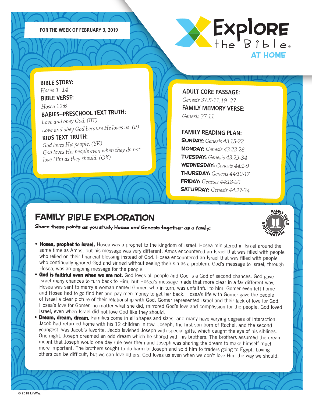



**BIBLE STORY:** *Hosea 1–14* **BIBLE VERSE:**

*Hosea 12:6* **BABIES–PRESCHOOL TEXT TRUTH:**  *Love and obey God. (BT)*

*Love and obey God because He loves us. (P)* 

### **KIDS TEXT TRUTH:**

*God loves His people. (YK) God loves His people even when they do not love Him as they should. (OK)*

**ADULT CORE PASSAGE:** *Genesis 37:5-11,19- 27*  **FAMILY MEMORY VERSE:** *Genesis 37:11*

#### **FAMILY READING PLAN:**

SUNDAY: *Genesis 43:15-22* MONDAY: *Genesis 43:23-28* TUESDAY: *Genesis 43:29-34* WEDNESDAY: *Genesis 44:1-9* THURSDAY: *Genesis 44:10-17* FRIDAY: *Genesis 44:18-26* SATURDAY: *Genesis 44:27-34*

FAMILL<br>I II P

X<sub>ORATION</sub>

iη

m

## FAMILY BIBLE EXPLORATION

- Hosea, prophet to Israel. Hosea was a prophet to the kingdom of Israel. Hosea ministered in Israel around the same time as Amos, but his message was very different. Amos encountered an Israel that was filled with people who relied on their financial blessing instead of God. Hosea encountered an Israel that was filled with people who continually ignored God and sinned without seeing their sin as a problem. God's message to Israel, through Hosea, was an ongoing message for the people.
- **God is faithful even when we are not.** God loves all people and God is a God of second chances. God gave Israel many chances to turn back to Him, but Hosea's message made that more clear in a far different way. Hosea was sent to marry a woman named Gomer, who in turn, was unfaithful to him. Gomer even left home and Hosea had to go find her and pay men money to get her back. Hosea's life with Gomer gave the people of Israel a clear picture of their relationship with God. Gomer represented Israel and their lack of love for God. Hosea's love for Gomer, no matter what she did, mirrored God's love and compassion for the people. God loved Israel, even when Israel did not love God like they should.
- •**Dream, dream, dream.** Families come in all shapes and sizes, and many have varying degrees of interaction. Jacob had returned home with his 12 children in tow. Joseph, the first son born of Rachel, and the second youngest, was Jacob's favorite. Jacob lavished Joseph with special gifts, which caught the eye of his siblings. One night, Joseph dreamed an odd dream which he shared with his brothers. The brothers assumed the dream meant that Joseph would one day rule over them and Joseph was sharing the dream to make himself much more important. The brothers sought to do harm to Joseph and sold him to traders going to Egypt. Loving others can be difficult, but we can love others. God loves us even when we don't love Him the way we should.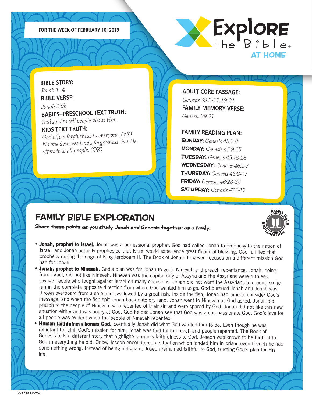



**BIBLE STORY:** *Jonah 1–4* **BIBLE VERSE:**

*Jonah 2:9b* **BABIES–PRESCHOOL TEXT TRUTH:**  *God said to tell people about Him.*

#### **KIDS TEXT TRUTH:**

*God offers forgiveness to everyone. (YK) No one deserves God's forgiveness, but He offers it to all people. (OK)*

**ADULT CORE PASSAGE:** *Genesis 39:3-12,19-21*  **FAMILY MEMORY VERSE:** *Genesis 39:21*

#### **FAMILY READING PLAN:**

SUNDAY: *Genesis 45:1-8* MONDAY: *Genesis 45:9-15* TUESDAY: *Genesis 45:16-28* WEDNESDAY: *Genesis 46:1-7* THURSDAY: *Genesis 46:8-27* FRIDAY: *Genesis 46:28-34* SATURDAY: *Genesis 47:1-12*

## FAMILY BIBLE EXPLORATION



- Jonah, prophet to Israel. Jonah was a professional prophet. God had called Jonah to prophesy to the nation of Israel, and Jonah actually prophesied that Israel would experience great financial blessing. God fulfilled that prophecy during the reign of King Jeroboam II. The Book of Jonah, however, focuses on a different mission God had for Jonah.
- Jonah, prophet to Nineveh. God's plan was for Jonah to go to Nineveh and preach repentance. Jonah, being from Israel, did not like Nineveh. Nineveh was the capital city of Assyria and the Assyrians were ruthless savage people who fought against Israel on many occasions. Jonah did not want the Assyrians to repent, so he ran in the complete opposite direction from where God wanted him to go. God pursued Jonah and Jonah was thrown overboard from a ship and swallowed by a great fish. Inside the fish, Jonah had time to consider God's message, and when the fish spit Jonah back onto dry land, Jonah went to Nineveh as God asked. Jonah did preach to the people of Nineveh, who repented of their sin and were spared by God. Jonah did not like this new situation either and was angry at God. God helped Jonah see that God was a compassionate God. God's love for all people was evident when the people of Nineveh repented.
- •Human faithfulness honors God. Eventually Jonah did what God wanted him to do. Even though he was reluctant to fulfill God's mission for him, Jonah was faithful to preach and people repented. The Book of Genesis tells a different story that highlights a man's faithfulness to God. Joseph was known to be faithful to God in everything he did. Once, Joseph encountered a situation which landed him in prison even though he had done nothing wrong. Instead of being indignant, Joseph remained faithful to God, trusting God's plan for His life.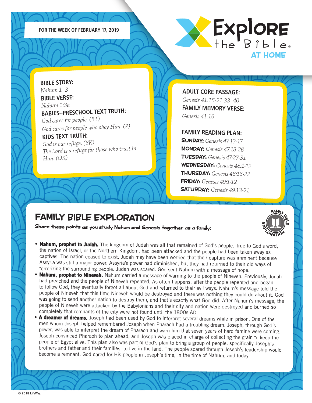



**BIBLE STORY:** *Nahum 1–3* **BIBLE VERSE:** *Nahum 1:3a* **BABIES–PRESCHOOL TEXT TRUTH:**  *God cares for people. (BT) God cares for people who obey Him. (P)* **KIDS TEXT TRUTH:**  *God is our refuge. (YK) The Lord is a refuge for those who trust in* 

*Him. (OK)*

**ADULT CORE PASSAGE:** *Genesis 41:15-21,33- 40* **FAMILY MEMORY VERSE:** *Genesis 41:16*

#### **FAMILY READING PLAN:**

SUNDAY: *Genesis 47:13-17* MONDAY: *Genesis 47:18-26* TUESDAY: *Genesis 47:27-31* WEDNESDAY: *Genesis 48:1-12* THURSDAY: *Genesis 48:13-22* FRIDAY: *Genesis 49:1-12* SATURDAY: *Genesis 49:13-21*

FAMILL<br>I II P

X<sub>ORATION</sub>

iη

m

## FAMILY BIBLE EXPLORATION

- Nahum, prophet to Judah. The kingdom of Judah was all that remained of God's people. True to God's word, the nation of Israel, or the Northern Kingdom, had been attacked and the people had been taken away as captives. The nation ceased to exist. Judah may have been worried that their capture was imminent because Assyria was still a major power. Assyria's power had diminished, but they had returned to their old ways of terrorizing the surrounding people. Judah was scared. God sent Nahum with a message of hope.
- •Nahum, prophet to Nineveh. Nahum carried a message of warning to the people of Nineveh. Previously, Jonah had preached and the people of Nineveh repented. As often happens, after the people repented and began to follow God, they eventually forgot all about God and returned to their evil ways. Nahum's message told the people of Nineveh that this time Nineveh would be destroyed and there was nothing they could do about it. God was going to send another nation to destroy them, and that's exactly what God did. After Nahum's message, the people of Nineveh were attacked by the Babylonians and their city and nation were destroyed and burned so completely that remnants of the city were not found until the 1800s AD.
- •A dreamer of dreams. Joseph had been used by God to interpret several dreams while in prison. One of the men whom Joseph helped remembered Joseph when Pharaoh had a troubling dream. Joseph, through God's power, was able to interpret the dream of Pharaoh and warn him that seven years of hard famine were coming. Joseph convinced Pharaoh to plan ahead, and Joseph was placed in charge of collecting the grain to keep the people of Egypt alive. This plan also was part of God's plan to bring a group of people, specifically Joseph's brothers and father and their families, to live in the land. The people spared through Joseph's leadership would become a remnant. God cared for His people in Joseph's time, in the time of Nahum, and today.